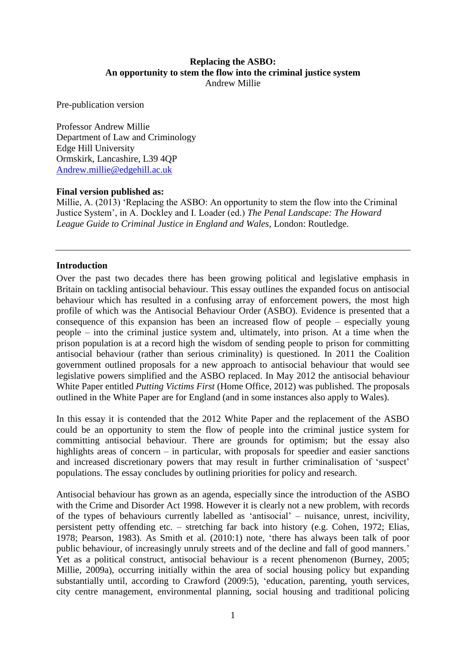## **Replacing the ASBO: An opportunity to stem the flow into the criminal justice system** Andrew Millie

Pre-publication version

Professor Andrew Millie Department of Law and Criminology Edge Hill University Ormskirk, Lancashire, L39 4QP [Andrew.millie@edgehill.ac.uk](mailto:Andrew.millie@edgehill.ac.uk)

#### **Final version published as:**

Millie, A. (2013) 'Replacing the ASBO: An opportunity to stem the flow into the Criminal Justice System', in A. Dockley and I. Loader (ed.) *The Penal Landscape: The Howard League Guide to Criminal Justice in England and Wales*, London: Routledge.

### **Introduction**

Over the past two decades there has been growing political and legislative emphasis in Britain on tackling antisocial behaviour. This essay outlines the expanded focus on antisocial behaviour which has resulted in a confusing array of enforcement powers, the most high profile of which was the Antisocial Behaviour Order (ASBO). Evidence is presented that a consequence of this expansion has been an increased flow of people – especially young people – into the criminal justice system and, ultimately, into prison. At a time when the prison population is at a record high the wisdom of sending people to prison for committing antisocial behaviour (rather than serious criminality) is questioned. In 2011 the Coalition government outlined proposals for a new approach to antisocial behaviour that would see legislative powers simplified and the ASBO replaced. In May 2012 the antisocial behaviour White Paper entitled *Putting Victims First* (Home Office, 2012) was published. The proposals outlined in the White Paper are for England (and in some instances also apply to Wales).

In this essay it is contended that the 2012 White Paper and the replacement of the ASBO could be an opportunity to stem the flow of people into the criminal justice system for committing antisocial behaviour. There are grounds for optimism; but the essay also highlights areas of concern – in particular, with proposals for speedier and easier sanctions and increased discretionary powers that may result in further criminalisation of 'suspect' populations. The essay concludes by outlining priorities for policy and research.

Antisocial behaviour has grown as an agenda, especially since the introduction of the ASBO with the Crime and Disorder Act 1998. However it is clearly not a new problem, with records of the types of behaviours currently labelled as 'antisocial' – nuisance, unrest, incivility, persistent petty offending etc. – stretching far back into history (e.g. Cohen, 1972; Elias, 1978; Pearson, 1983). As Smith et al. (2010:1) note, 'there has always been talk of poor public behaviour, of increasingly unruly streets and of the decline and fall of good manners.' Yet as a political construct, antisocial behaviour is a recent phenomenon (Burney, 2005; Millie, 2009a), occurring initially within the area of social housing policy but expanding substantially until, according to Crawford (2009:5), 'education, parenting, youth services, city centre management, environmental planning, social housing and traditional policing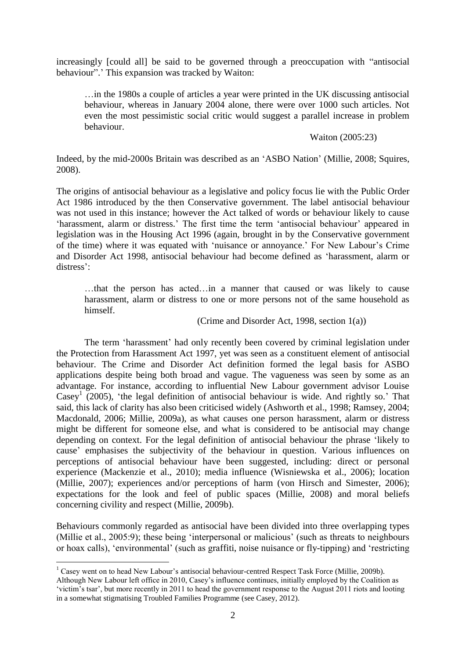increasingly [could all] be said to be governed through a preoccupation with "antisocial behaviour".' This expansion was tracked by Waiton:

…in the 1980s a couple of articles a year were printed in the UK discussing antisocial behaviour, whereas in January 2004 alone, there were over 1000 such articles. Not even the most pessimistic social critic would suggest a parallel increase in problem behaviour.

#### Waiton (2005:23)

Indeed, by the mid-2000s Britain was described as an 'ASBO Nation' (Millie, 2008; Squires, 2008).

The origins of antisocial behaviour as a legislative and policy focus lie with the Public Order Act 1986 introduced by the then Conservative government. The label antisocial behaviour was not used in this instance; however the Act talked of words or behaviour likely to cause 'harassment, alarm or distress.' The first time the term 'antisocial behaviour' appeared in legislation was in the Housing Act 1996 (again, brought in by the Conservative government of the time) where it was equated with 'nuisance or annoyance.' For New Labour's Crime and Disorder Act 1998, antisocial behaviour had become defined as 'harassment, alarm or distress':

…that the person has acted…in a manner that caused or was likely to cause harassment, alarm or distress to one or more persons not of the same household as himself.

(Crime and Disorder Act, 1998, section 1(a))

The term 'harassment' had only recently been covered by criminal legislation under the Protection from Harassment Act 1997, yet was seen as a constituent element of antisocial behaviour. The Crime and Disorder Act definition formed the legal basis for ASBO applications despite being both broad and vague. The vagueness was seen by some as an advantage. For instance, according to influential New Labour government advisor Louise Casey<sup>1</sup> (2005), 'the legal definition of antisocial behaviour is wide. And rightly so.' That said, this lack of clarity has also been criticised widely (Ashworth et al., 1998; Ramsey, 2004; Macdonald, 2006; Millie, 2009a), as what causes one person harassment, alarm or distress might be different for someone else, and what is considered to be antisocial may change depending on context. For the legal definition of antisocial behaviour the phrase 'likely to cause' emphasises the subjectivity of the behaviour in question. Various influences on perceptions of antisocial behaviour have been suggested, including: direct or personal experience (Mackenzie et al., 2010); media influence (Wisniewska et al., 2006); location (Millie, 2007); experiences and/or perceptions of harm (von Hirsch and Simester, 2006); expectations for the look and feel of public spaces (Millie, 2008) and moral beliefs concerning civility and respect (Millie, 2009b).

Behaviours commonly regarded as antisocial have been divided into three overlapping types (Millie et al., 2005:9); these being 'interpersonal or malicious' (such as threats to neighbours or hoax calls), 'environmental' (such as graffiti, noise nuisance or fly-tipping) and 'restricting

<sup>&</sup>lt;sup>1</sup> Casey went on to head New Labour's antisocial behaviour-centred Respect Task Force (Millie, 2009b).

Although New Labour left office in 2010, Casey's influence continues, initially employed by the Coalition as 'victim's tsar', but more recently in 2011 to head the government response to the August 2011 riots and looting in a somewhat stigmatising Troubled Families Programme (see Casey, 2012).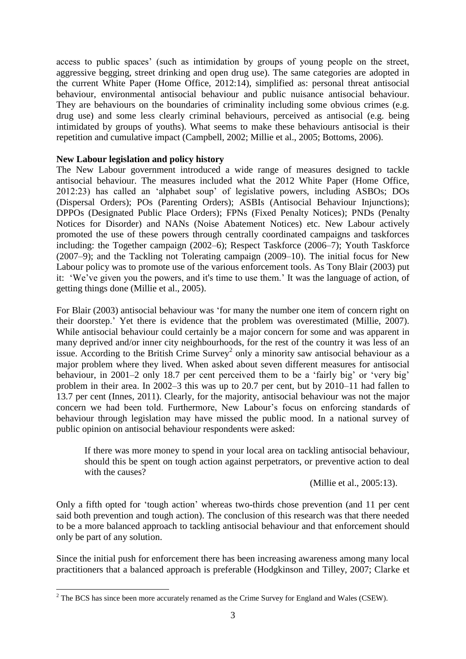access to public spaces' (such as intimidation by groups of young people on the street, aggressive begging, street drinking and open drug use). The same categories are adopted in the current White Paper (Home Office, 2012:14), simplified as: personal threat antisocial behaviour, environmental antisocial behaviour and public nuisance antisocial behaviour. They are behaviours on the boundaries of criminality including some obvious crimes (e.g. drug use) and some less clearly criminal behaviours, perceived as antisocial (e.g. being intimidated by groups of youths). What seems to make these behaviours antisocial is their repetition and cumulative impact (Campbell, 2002; Millie et al., 2005; Bottoms, 2006).

### **New Labour legislation and policy history**

The New Labour government introduced a wide range of measures designed to tackle antisocial behaviour. The measures included what the 2012 White Paper (Home Office, 2012:23) has called an 'alphabet soup' of legislative powers, including ASBOs; DOs (Dispersal Orders); POs (Parenting Orders); ASBIs (Antisocial Behaviour Injunctions); DPPOs (Designated Public Place Orders); FPNs (Fixed Penalty Notices); PNDs (Penalty Notices for Disorder) and NANs (Noise Abatement Notices) etc. New Labour actively promoted the use of these powers through centrally coordinated campaigns and taskforces including: the Together campaign (2002–6); Respect Taskforce (2006–7); Youth Taskforce (2007–9); and the Tackling not Tolerating campaign (2009–10). The initial focus for New Labour policy was to promote use of the various enforcement tools. As Tony Blair (2003) put it: 'We've given you the powers, and it's time to use them.' It was the language of action, of getting things done (Millie et al., 2005).

For Blair (2003) antisocial behaviour was 'for many the number one item of concern right on their doorstep.' Yet there is evidence that the problem was overestimated (Millie, 2007). While antisocial behaviour could certainly be a major concern for some and was apparent in many deprived and/or inner city neighbourhoods, for the rest of the country it was less of an issue. According to the British Crime Survey<sup>2</sup> only a minority saw antisocial behaviour as a major problem where they lived. When asked about seven different measures for antisocial behaviour, in 2001–2 only 18.7 per cent perceived them to be a 'fairly big' or 'very big' problem in their area. In 2002–3 this was up to 20.7 per cent, but by 2010–11 had fallen to 13.7 per cent (Innes, 2011). Clearly, for the majority, antisocial behaviour was not the major concern we had been told. Furthermore, New Labour's focus on enforcing standards of behaviour through legislation may have missed the public mood. In a national survey of public opinion on antisocial behaviour respondents were asked:

If there was more money to spend in your local area on tackling antisocial behaviour, should this be spent on tough action against perpetrators, or preventive action to deal with the causes?

(Millie et al., 2005:13).

Only a fifth opted for 'tough action' whereas two-thirds chose prevention (and 11 per cent said both prevention and tough action). The conclusion of this research was that there needed to be a more balanced approach to tackling antisocial behaviour and that enforcement should only be part of any solution.

Since the initial push for enforcement there has been increasing awareness among many local practitioners that a balanced approach is preferable (Hodgkinson and Tilley, 2007; Clarke et

 $2^2$  The BCS has since been more accurately renamed as the Crime Survey for England and Wales (CSEW).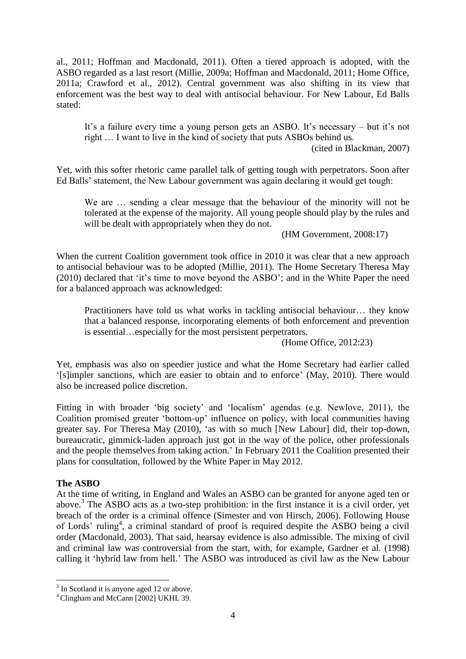al., 2011; Hoffman and Macdonald, 2011). Often a tiered approach is adopted, with the ASBO regarded as a last resort (Millie, 2009a; Hoffman and Macdonald, 2011; Home Office, 2011a; Crawford et al., 2012). Central government was also shifting in its view that enforcement was the best way to deal with antisocial behaviour. For New Labour, Ed Balls stated:

It's a failure every time a young person gets an ASBO. It's necessary – but it's not right … I want to live in the kind of society that puts ASBOs behind us.

(cited in Blackman, 2007)

Yet, with this softer rhetoric came parallel talk of getting tough with perpetrators. Soon after Ed Balls' statement, the New Labour government was again declaring it would get tough:

We are ... sending a clear message that the behaviour of the minority will not be tolerated at the expense of the majority. All young people should play by the rules and will be dealt with appropriately when they do not.

(HM Government, 2008:17)

When the current Coalition government took office in 2010 it was clear that a new approach to antisocial behaviour was to be adopted (Millie, 2011). The Home Secretary Theresa May (2010) declared that 'it's time to move beyond the ASBO'; and in the White Paper the need for a balanced approach was acknowledged:

Practitioners have told us what works in tackling antisocial behaviour… they know that a balanced response, incorporating elements of both enforcement and prevention is essential…especially for the most persistent perpetrators.

(Home Office, 2012:23)

Yet, emphasis was also on speedier justice and what the Home Secretary had earlier called '[s]impler sanctions, which are easier to obtain and to enforce' (May, 2010). There would also be increased police discretion.

Fitting in with broader 'big society' and 'localism' agendas (e.g. Newlove, 2011), the Coalition promised greater 'bottom-up' influence on policy, with local communities having greater say. For Theresa May (2010), 'as with so much [New Labour] did, their top-down, bureaucratic, gimmick-laden approach just got in the way of the police, other professionals and the people themselves from taking action.' In February 2011 the Coalition presented their plans for consultation, followed by the White Paper in May 2012.

### **The ASBO**

<u>.</u>

At the time of writing, in England and Wales an ASBO can be granted for anyone aged ten or above. 3 The ASBO acts as a two-step prohibition: in the first instance it is a civil order, yet breach of the order is a criminal offence (Simester and von Hirsch, 2006). Following House of Lords' ruling<sup>4</sup>, a criminal standard of proof is required despite the ASBO being a civil order (Macdonald, 2003). That said, hearsay evidence is also admissible. The mixing of civil and criminal law was controversial from the start, with, for example, Gardner et al. (1998) calling it 'hybrid law from hell.' The ASBO was introduced as civil law as the New Labour

<sup>&</sup>lt;sup>3</sup> In Scotland it is anyone aged 12 or above.

<sup>&</sup>lt;sup>4</sup> Clingham and McCann [2002] UKHL 39.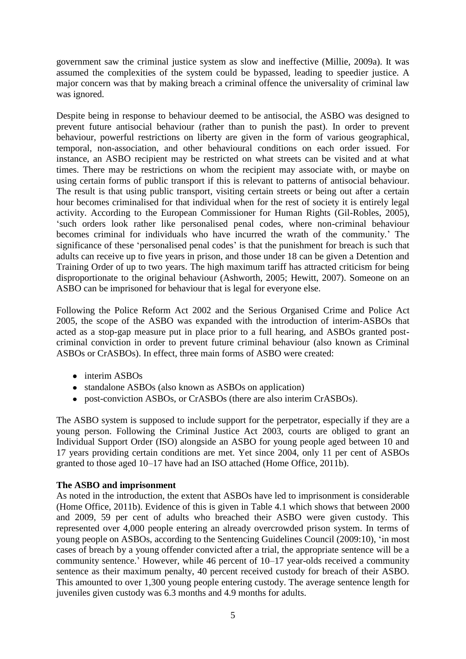government saw the criminal justice system as slow and ineffective (Millie, 2009a). It was assumed the complexities of the system could be bypassed, leading to speedier justice. A major concern was that by making breach a criminal offence the universality of criminal law was ignored.

Despite being in response to behaviour deemed to be antisocial, the ASBO was designed to prevent future antisocial behaviour (rather than to punish the past). In order to prevent behaviour, powerful restrictions on liberty are given in the form of various geographical, temporal, non-association, and other behavioural conditions on each order issued. For instance, an ASBO recipient may be restricted on what streets can be visited and at what times. There may be restrictions on whom the recipient may associate with, or maybe on using certain forms of public transport if this is relevant to patterns of antisocial behaviour. The result is that using public transport, visiting certain streets or being out after a certain hour becomes criminalised for that individual when for the rest of society it is entirely legal activity. According to the European Commissioner for Human Rights (Gil-Robles, 2005), 'such orders look rather like personalised penal codes, where non-criminal behaviour becomes criminal for individuals who have incurred the wrath of the community.' The significance of these 'personalised penal codes' is that the punishment for breach is such that adults can receive up to five years in prison, and those under 18 can be given a Detention and Training Order of up to two years. The high maximum tariff has attracted criticism for being disproportionate to the original behaviour (Ashworth, 2005; Hewitt, 2007). Someone on an ASBO can be imprisoned for behaviour that is legal for everyone else.

Following the Police Reform Act 2002 and the Serious Organised Crime and Police Act 2005, the scope of the ASBO was expanded with the introduction of interim-ASBOs that acted as a stop-gap measure put in place prior to a full hearing, and ASBOs granted postcriminal conviction in order to prevent future criminal behaviour (also known as Criminal ASBOs or CrASBOs). In effect, three main forms of ASBO were created:

- interim ASBOs
- standalone ASBOs (also known as ASBOs on application)
- post-conviction ASBOs, or CrASBOs (there are also interim CrASBOs).

The ASBO system is supposed to include support for the perpetrator, especially if they are a young person. Following the Criminal Justice Act 2003, courts are obliged to grant an Individual Support Order (ISO) alongside an ASBO for young people aged between 10 and 17 years providing certain conditions are met. Yet since 2004, only 11 per cent of ASBOs granted to those aged 10–17 have had an ISO attached (Home Office, 2011b).

# **The ASBO and imprisonment**

As noted in the introduction, the extent that ASBOs have led to imprisonment is considerable (Home Office, 2011b). Evidence of this is given in Table 4.1 which shows that between 2000 and 2009, 59 per cent of adults who breached their ASBO were given custody. This represented over 4,000 people entering an already overcrowded prison system. In terms of young people on ASBOs, according to the Sentencing Guidelines Council (2009:10), 'in most cases of breach by a young offender convicted after a trial, the appropriate sentence will be a community sentence.' However, while 46 percent of 10–17 year-olds received a community sentence as their maximum penalty, 40 percent received custody for breach of their ASBO. This amounted to over 1,300 young people entering custody. The average sentence length for juveniles given custody was 6.3 months and 4.9 months for adults.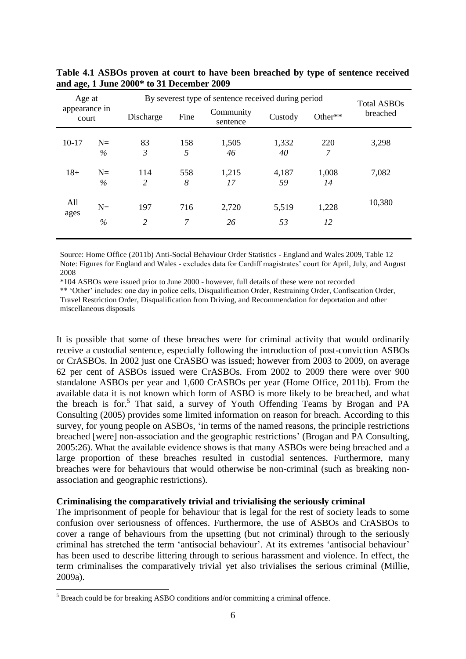| Age at<br>appearance in<br>court |              | By severest type of sentence received during period |          |                       |             |             | <b>Total ASBOs</b> |
|----------------------------------|--------------|-----------------------------------------------------|----------|-----------------------|-------------|-------------|--------------------|
|                                  |              | Discharge                                           | Fine     | Community<br>sentence | Custody     | Other**     | breached           |
| $10-17$                          | $N=$<br>$\%$ | 83<br>3                                             | 158<br>5 | 1,505<br>46           | 1,332<br>40 | 220<br>7    | 3,298              |
| $18+$                            | $N=$<br>$\%$ | 114<br>2                                            | 558<br>8 | 1,215<br>17           | 4,187<br>59 | 1,008<br>14 | 7,082              |
| All<br>ages                      | $N=$         | 197                                                 | 716      | 2,720                 | 5,519       | 1,228       | 10,380             |
|                                  | $\%$         | 2                                                   | 7        | 26                    | 53          | 12          |                    |

**Table 4.1 ASBOs proven at court to have been breached by type of sentence received and age, 1 June 2000\* to 31 December 2009**

Source: Home Office (2011b) Anti-Social Behaviour Order Statistics - England and Wales 2009, Table 12 Note: Figures for England and Wales - excludes data for Cardiff magistrates' court for April, July, and August 2008

\*104 ASBOs were issued prior to June 2000 - however, full details of these were not recorded

\*\* 'Other' includes: one day in police cells, Disqualification Order, Restraining Order, Confiscation Order, Travel Restriction Order, Disqualification from Driving, and Recommendation for deportation and other miscellaneous disposals

It is possible that some of these breaches were for criminal activity that would ordinarily receive a custodial sentence, especially following the introduction of post-conviction ASBOs or CrASBOs. In 2002 just one CrASBO was issued; however from 2003 to 2009, on average 62 per cent of ASBOs issued were CrASBOs. From 2002 to 2009 there were over 900 standalone ASBOs per year and 1,600 CrASBOs per year (Home Office, 2011b). From the available data it is not known which form of ASBO is more likely to be breached, and what the breach is for. 5 That said, a survey of Youth Offending Teams by Brogan and PA Consulting (2005) provides some limited information on reason for breach. According to this survey, for young people on ASBOs, 'in terms of the named reasons, the principle restrictions breached [were] non-association and the geographic restrictions' (Brogan and PA Consulting, 2005:26). What the available evidence shows is that many ASBOs were being breached and a large proportion of these breaches resulted in custodial sentences. Furthermore, many breaches were for behaviours that would otherwise be non-criminal (such as breaking nonassociation and geographic restrictions).

# **Criminalising the comparatively trivial and trivialising the seriously criminal**

The imprisonment of people for behaviour that is legal for the rest of society leads to some confusion over seriousness of offences. Furthermore, the use of ASBOs and CrASBOs to cover a range of behaviours from the upsetting (but not criminal) through to the seriously criminal has stretched the term 'antisocial behaviour'. At its extremes 'antisocial behaviour' has been used to describe littering through to serious harassment and violence. In effect, the term criminalises the comparatively trivial yet also trivialises the serious criminal (Millie, 2009a).

 $<sup>5</sup>$  Breach could be for breaking ASBO conditions and/or committing a criminal offence.</sup>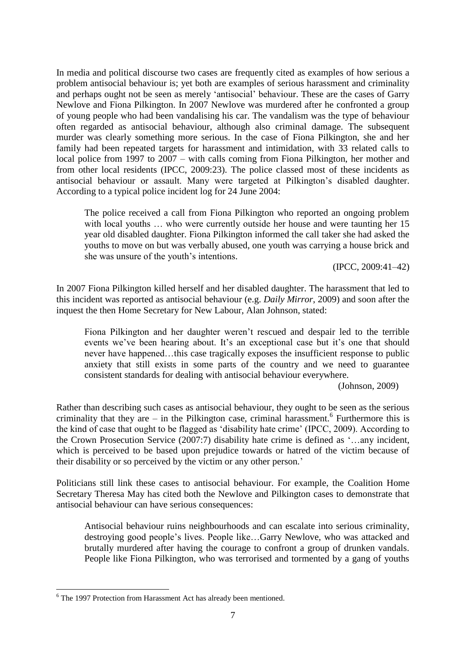In media and political discourse two cases are frequently cited as examples of how serious a problem antisocial behaviour is; yet both are examples of serious harassment and criminality and perhaps ought not be seen as merely 'antisocial' behaviour. These are the cases of Garry Newlove and Fiona Pilkington. In 2007 Newlove was murdered after he confronted a group of young people who had been vandalising his car. The vandalism was the type of behaviour often regarded as antisocial behaviour, although also criminal damage. The subsequent murder was clearly something more serious. In the case of Fiona Pilkington, she and her family had been repeated targets for harassment and intimidation, with 33 related calls to local police from 1997 to 2007 – with calls coming from Fiona Pilkington, her mother and from other local residents (IPCC, 2009:23). The police classed most of these incidents as antisocial behaviour or assault. Many were targeted at Pilkington's disabled daughter. According to a typical police incident log for 24 June 2004:

The police received a call from Fiona Pilkington who reported an ongoing problem with local youths ... who were currently outside her house and were taunting her 15 year old disabled daughter. Fiona Pilkington informed the call taker she had asked the youths to move on but was verbally abused, one youth was carrying a house brick and she was unsure of the youth's intentions.

(IPCC, 2009:41–42)

In 2007 Fiona Pilkington killed herself and her disabled daughter. The harassment that led to this incident was reported as antisocial behaviour (e.g. *Daily Mirror*, 2009) and soon after the inquest the then Home Secretary for New Labour, Alan Johnson, stated:

Fiona Pilkington and her daughter weren't rescued and despair led to the terrible events we've been hearing about. It's an exceptional case but it's one that should never have happened…this case tragically exposes the insufficient response to public anxiety that still exists in some parts of the country and we need to guarantee consistent standards for dealing with antisocial behaviour everywhere.

(Johnson, 2009)

Rather than describing such cases as antisocial behaviour, they ought to be seen as the serious criminality that they are  $-$  in the Pilkington case, criminal harassment.<sup>6</sup> Furthermore this is the kind of case that ought to be flagged as 'disability hate crime' (IPCC, 2009). According to the Crown Prosecution Service (2007:7) disability hate crime is defined as '…any incident, which is perceived to be based upon prejudice towards or hatred of the victim because of their disability or so perceived by the victim or any other person.'

Politicians still link these cases to antisocial behaviour. For example, the Coalition Home Secretary Theresa May has cited both the Newlove and Pilkington cases to demonstrate that antisocial behaviour can have serious consequences:

Antisocial behaviour ruins neighbourhoods and can escalate into serious criminality, destroying good people's lives. People like…Garry Newlove, who was attacked and brutally murdered after having the courage to confront a group of drunken vandals. People like Fiona Pilkington, who was terrorised and tormented by a gang of youths

<sup>&</sup>lt;sup>6</sup> The 1997 Protection from Harassment Act has already been mentioned.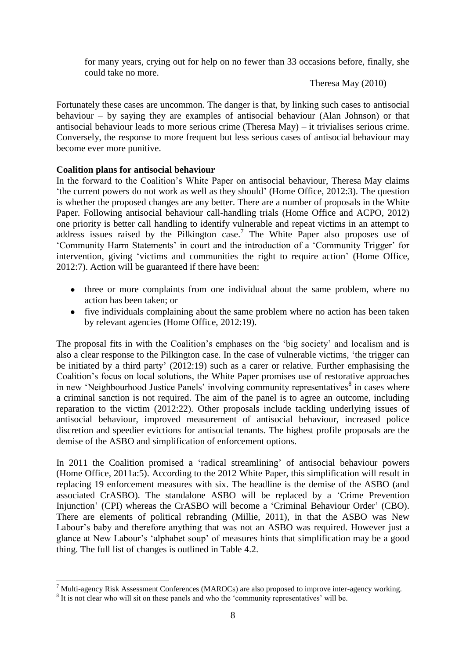for many years, crying out for help on no fewer than 33 occasions before, finally, she could take no more.

Theresa May (2010)

Fortunately these cases are uncommon. The danger is that, by linking such cases to antisocial behaviour – by saying they are examples of antisocial behaviour (Alan Johnson) or that antisocial behaviour leads to more serious crime (Theresa May) – it trivialises serious crime. Conversely, the response to more frequent but less serious cases of antisocial behaviour may become ever more punitive.

# **Coalition plans for antisocial behaviour**

In the forward to the Coalition's White Paper on antisocial behaviour, Theresa May claims 'the current powers do not work as well as they should' (Home Office, 2012:3). The question is whether the proposed changes are any better. There are a number of proposals in the White Paper. Following antisocial behaviour call-handling trials (Home Office and ACPO, 2012) one priority is better call handling to identify vulnerable and repeat victims in an attempt to address issues raised by the Pilkington case. 7 The White Paper also proposes use of 'Community Harm Statements' in court and the introduction of a 'Community Trigger' for intervention, giving 'victims and communities the right to require action' (Home Office, 2012:7). Action will be guaranteed if there have been:

- three or more complaints from one individual about the same problem, where no action has been taken; or
- five individuals complaining about the same problem where no action has been taken by relevant agencies (Home Office, 2012:19).

The proposal fits in with the Coalition's emphases on the 'big society' and localism and is also a clear response to the Pilkington case. In the case of vulnerable victims, 'the trigger can be initiated by a third party' (2012:19) such as a carer or relative. Further emphasising the Coalition's focus on local solutions, the White Paper promises use of restorative approaches in new 'Neighbourhood Justice Panels' involving community representatives<sup>8</sup> in cases where a criminal sanction is not required. The aim of the panel is to agree an outcome, including reparation to the victim (2012:22). Other proposals include tackling underlying issues of antisocial behaviour, improved measurement of antisocial behaviour, increased police discretion and speedier evictions for antisocial tenants. The highest profile proposals are the demise of the ASBO and simplification of enforcement options.

In 2011 the Coalition promised a 'radical streamlining' of antisocial behaviour powers (Home Office, 2011a:5). According to the 2012 White Paper, this simplification will result in replacing 19 enforcement measures with six. The headline is the demise of the ASBO (and associated CrASBO). The standalone ASBO will be replaced by a 'Crime Prevention Injunction' (CPI) whereas the CrASBO will become a 'Criminal Behaviour Order' (CBO). There are elements of political rebranding (Millie, 2011), in that the ASBO was New Labour's baby and therefore anything that was not an ASBO was required. However just a glance at New Labour's 'alphabet soup' of measures hints that simplification may be a good thing. The full list of changes is outlined in Table 4.2.

<u>.</u>

 $<sup>7</sup>$  Multi-agency Risk Assessment Conferences (MAROCs) are also proposed to improve inter-agency working.</sup>

<sup>&</sup>lt;sup>8</sup> It is not clear who will sit on these panels and who the 'community representatives' will be.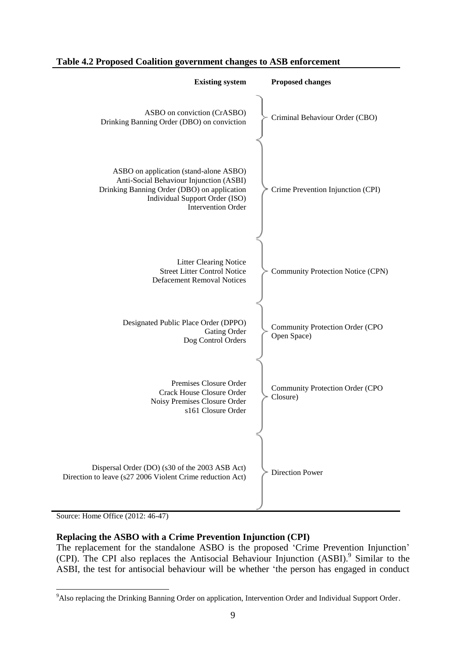### **Table 4.2 Proposed Coalition government changes to ASB enforcement**



Source: Home Office (2012: 46-47)

1

### **Replacing the ASBO with a Crime Prevention Injunction (CPI)**

The replacement for the standalone ASBO is the proposed 'Crime Prevention Injunction' (CPI). The CPI also replaces the Antisocial Behaviour Injunction (ASBI). 9 Similar to the ASBI, the test for antisocial behaviour will be whether 'the person has engaged in conduct

<sup>&</sup>lt;sup>9</sup>Also replacing the Drinking Banning Order on application, Intervention Order and Individual Support Order.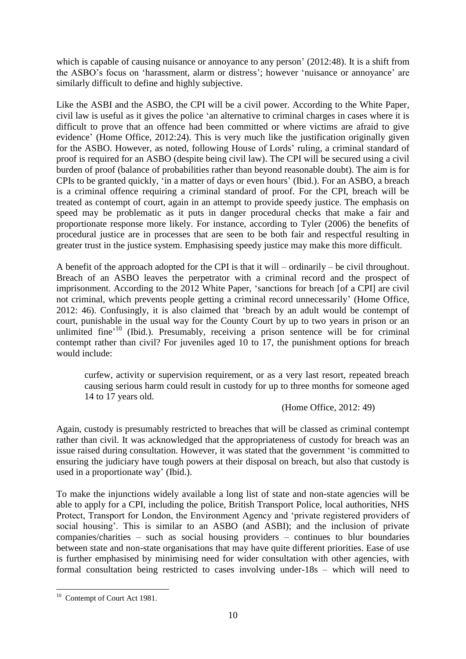which is capable of causing nuisance or annoyance to any person' (2012:48). It is a shift from the ASBO's focus on 'harassment, alarm or distress'; however 'nuisance or annoyance' are similarly difficult to define and highly subjective.

Like the ASBI and the ASBO, the CPI will be a civil power. According to the White Paper, civil law is useful as it gives the police 'an alternative to criminal charges in cases where it is difficult to prove that an offence had been committed or where victims are afraid to give evidence' (Home Office, 2012:24). This is very much like the justification originally given for the ASBO. However, as noted, following House of Lords' ruling, a criminal standard of proof is required for an ASBO (despite being civil law). The CPI will be secured using a civil burden of proof (balance of probabilities rather than beyond reasonable doubt). The aim is for CPIs to be granted quickly, 'in a matter of days or even hours' (Ibid.). For an ASBO, a breach is a criminal offence requiring a criminal standard of proof. For the CPI, breach will be treated as contempt of court, again in an attempt to provide speedy justice. The emphasis on speed may be problematic as it puts in danger procedural checks that make a fair and proportionate response more likely. For instance, according to Tyler (2006) the benefits of procedural justice are in processes that are seen to be both fair and respectful resulting in greater trust in the justice system. Emphasising speedy justice may make this more difficult.

A benefit of the approach adopted for the CPI is that it will – ordinarily – be civil throughout. Breach of an ASBO leaves the perpetrator with a criminal record and the prospect of imprisonment. According to the 2012 White Paper, 'sanctions for breach [of a CPI] are civil not criminal, which prevents people getting a criminal record unnecessarily' (Home Office, 2012: 46). Confusingly, it is also claimed that 'breach by an adult would be contempt of court, punishable in the usual way for the County Court by up to two years in prison or an unlimited fine<sup>'10</sup> (Ibid.). Presumably, receiving a prison sentence will be for criminal contempt rather than civil? For juveniles aged 10 to 17, the punishment options for breach would include:

curfew, activity or supervision requirement, or as a very last resort, repeated breach causing serious harm could result in custody for up to three months for someone aged 14 to 17 years old.

(Home Office, 2012: 49)

Again, custody is presumably restricted to breaches that will be classed as criminal contempt rather than civil. It was acknowledged that the appropriateness of custody for breach was an issue raised during consultation. However, it was stated that the government 'is committed to ensuring the judiciary have tough powers at their disposal on breach, but also that custody is used in a proportionate way' (Ibid.).

To make the injunctions widely available a long list of state and non-state agencies will be able to apply for a CPI, including the police, British Transport Police, local authorities, NHS Protect, Transport for London, the Environment Agency and 'private registered providers of social housing'. This is similar to an ASBO (and ASBI); and the inclusion of private companies/charities – such as social housing providers – continues to blur boundaries between state and non-state organisations that may have quite different priorities. Ease of use is further emphasised by minimising need for wider consultation with other agencies, with formal consultation being restricted to cases involving under-18s – which will need to

<sup>&</sup>lt;sup>10</sup> Contempt of Court Act 1981.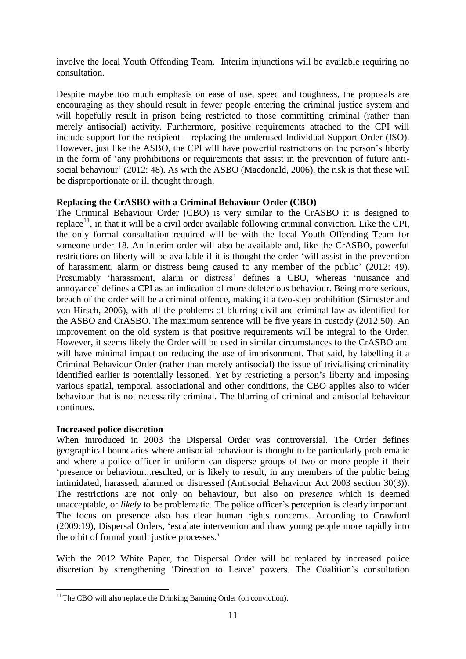involve the local Youth Offending Team. Interim injunctions will be available requiring no consultation.

Despite maybe too much emphasis on ease of use, speed and toughness, the proposals are encouraging as they should result in fewer people entering the criminal justice system and will hopefully result in prison being restricted to those committing criminal (rather than merely antisocial) activity. Furthermore, positive requirements attached to the CPI will include support for the recipient – replacing the underused Individual Support Order (ISO). However, just like the ASBO, the CPI will have powerful restrictions on the person's liberty in the form of 'any prohibitions or requirements that assist in the prevention of future antisocial behaviour' (2012: 48). As with the ASBO (Macdonald, 2006), the risk is that these will be disproportionate or ill thought through.

## **Replacing the CrASBO with a Criminal Behaviour Order (CBO)**

The Criminal Behaviour Order (CBO) is very similar to the CrASBO it is designed to replace<sup>11</sup>, in that it will be a civil order available following criminal conviction. Like the CPI, the only formal consultation required will be with the local Youth Offending Team for someone under-18. An interim order will also be available and, like the CrASBO, powerful restrictions on liberty will be available if it is thought the order 'will assist in the prevention of harassment, alarm or distress being caused to any member of the public' (2012: 49). Presumably 'harassment, alarm or distress' defines a CBO, whereas 'nuisance and annoyance' defines a CPI as an indication of more deleterious behaviour. Being more serious, breach of the order will be a criminal offence, making it a two-step prohibition (Simester and von Hirsch, 2006), with all the problems of blurring civil and criminal law as identified for the ASBO and CrASBO. The maximum sentence will be five years in custody (2012:50). An improvement on the old system is that positive requirements will be integral to the Order. However, it seems likely the Order will be used in similar circumstances to the CrASBO and will have minimal impact on reducing the use of imprisonment. That said, by labelling it a Criminal Behaviour Order (rather than merely antisocial) the issue of trivialising criminality identified earlier is potentially lessoned. Yet by restricting a person's liberty and imposing various spatial, temporal, associational and other conditions, the CBO applies also to wider behaviour that is not necessarily criminal. The blurring of criminal and antisocial behaviour continues.

### **Increased police discretion**

1

When introduced in 2003 the Dispersal Order was controversial. The Order defines geographical boundaries where antisocial behaviour is thought to be particularly problematic and where a police officer in uniform can disperse groups of two or more people if their 'presence or behaviour...resulted, or is likely to result, in any members of the public being intimidated, harassed, alarmed or distressed (Antisocial Behaviour Act 2003 section 30(3)). The restrictions are not only on behaviour, but also on *presence* which is deemed unacceptable, or *likely* to be problematic. The police officer's perception is clearly important. The focus on presence also has clear human rights concerns. According to Crawford (2009:19), Dispersal Orders, 'escalate intervention and draw young people more rapidly into the orbit of formal youth justice processes.'

With the 2012 White Paper, the Dispersal Order will be replaced by increased police discretion by strengthening 'Direction to Leave' powers. The Coalition's consultation

 $11$ <sup>11</sup> The CBO will also replace the Drinking Banning Order (on conviction).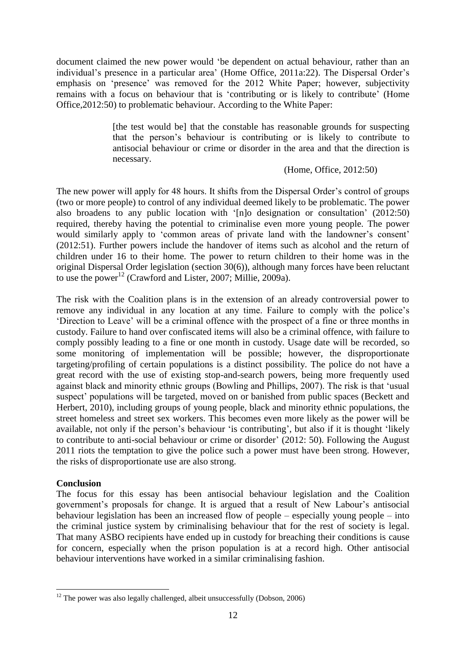document claimed the new power would 'be dependent on actual behaviour, rather than an individual's presence in a particular area' (Home Office, 2011a:22). The Dispersal Order's emphasis on 'presence' was removed for the 2012 White Paper; however, subjectivity remains with a focus on behaviour that is 'contributing or is likely to contribute' (Home Office,2012:50) to problematic behaviour. According to the White Paper:

> [the test would be] that the constable has reasonable grounds for suspecting that the person's behaviour is contributing or is likely to contribute to antisocial behaviour or crime or disorder in the area and that the direction is necessary.

### (Home, Office, 2012:50)

The new power will apply for 48 hours. It shifts from the Dispersal Order's control of groups (two or more people) to control of any individual deemed likely to be problematic. The power also broadens to any public location with '[n]o designation or consultation' (2012:50) required, thereby having the potential to criminalise even more young people. The power would similarly apply to 'common areas of private land with the landowner's consent' (2012:51). Further powers include the handover of items such as alcohol and the return of children under 16 to their home. The power to return children to their home was in the original Dispersal Order legislation (section 30(6)), although many forces have been reluctant to use the power<sup>12</sup> (Crawford and Lister, 2007; Millie, 2009a).

The risk with the Coalition plans is in the extension of an already controversial power to remove any individual in any location at any time. Failure to comply with the police's 'Direction to Leave' will be a criminal offence with the prospect of a fine or three months in custody. Failure to hand over confiscated items will also be a criminal offence, with failure to comply possibly leading to a fine or one month in custody. Usage date will be recorded, so some monitoring of implementation will be possible; however, the disproportionate targeting/profiling of certain populations is a distinct possibility. The police do not have a great record with the use of existing stop-and-search powers, being more frequently used against black and minority ethnic groups (Bowling and Phillips, 2007). The risk is that 'usual suspect' populations will be targeted, moved on or banished from public spaces (Beckett and Herbert, 2010), including groups of young people, black and minority ethnic populations, the street homeless and street sex workers. This becomes even more likely as the power will be available, not only if the person's behaviour 'is contributing', but also if it is thought 'likely to contribute to anti-social behaviour or crime or disorder' (2012: 50). Following the August 2011 riots the temptation to give the police such a power must have been strong. However, the risks of disproportionate use are also strong.

### **Conclusion**

1

The focus for this essay has been antisocial behaviour legislation and the Coalition government's proposals for change. It is argued that a result of New Labour's antisocial behaviour legislation has been an increased flow of people – especially young people – into the criminal justice system by criminalising behaviour that for the rest of society is legal. That many ASBO recipients have ended up in custody for breaching their conditions is cause for concern, especially when the prison population is at a record high. Other antisocial behaviour interventions have worked in a similar criminalising fashion.

 $12$  The power was also legally challenged, albeit unsuccessfully (Dobson, 2006)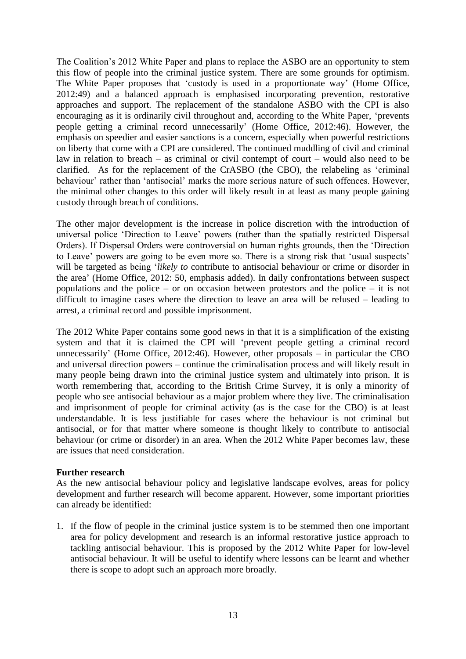The Coalition's 2012 White Paper and plans to replace the ASBO are an opportunity to stem this flow of people into the criminal justice system. There are some grounds for optimism. The White Paper proposes that 'custody is used in a proportionate way' (Home Office, 2012:49) and a balanced approach is emphasised incorporating prevention, restorative approaches and support. The replacement of the standalone ASBO with the CPI is also encouraging as it is ordinarily civil throughout and, according to the White Paper, 'prevents people getting a criminal record unnecessarily' (Home Office, 2012:46). However, the emphasis on speedier and easier sanctions is a concern, especially when powerful restrictions on liberty that come with a CPI are considered. The continued muddling of civil and criminal law in relation to breach – as criminal or civil contempt of court – would also need to be clarified. As for the replacement of the CrASBO (the CBO), the relabeling as 'criminal behaviour' rather than 'antisocial' marks the more serious nature of such offences. However, the minimal other changes to this order will likely result in at least as many people gaining custody through breach of conditions.

The other major development is the increase in police discretion with the introduction of universal police 'Direction to Leave' powers (rather than the spatially restricted Dispersal Orders). If Dispersal Orders were controversial on human rights grounds, then the 'Direction to Leave' powers are going to be even more so. There is a strong risk that 'usual suspects' will be targeted as being '*likely to* contribute to antisocial behaviour or crime or disorder in the area' (Home Office, 2012: 50, emphasis added). In daily confrontations between suspect populations and the police – or on occasion between protestors and the police – it is not difficult to imagine cases where the direction to leave an area will be refused – leading to arrest, a criminal record and possible imprisonment.

The 2012 White Paper contains some good news in that it is a simplification of the existing system and that it is claimed the CPI will 'prevent people getting a criminal record unnecessarily' (Home Office, 2012:46). However, other proposals – in particular the CBO and universal direction powers – continue the criminalisation process and will likely result in many people being drawn into the criminal justice system and ultimately into prison. It is worth remembering that, according to the British Crime Survey, it is only a minority of people who see antisocial behaviour as a major problem where they live. The criminalisation and imprisonment of people for criminal activity (as is the case for the CBO) is at least understandable. It is less justifiable for cases where the behaviour is not criminal but antisocial, or for that matter where someone is thought likely to contribute to antisocial behaviour (or crime or disorder) in an area. When the 2012 White Paper becomes law, these are issues that need consideration.

### **Further research**

As the new antisocial behaviour policy and legislative landscape evolves, areas for policy development and further research will become apparent. However, some important priorities can already be identified:

1. If the flow of people in the criminal justice system is to be stemmed then one important area for policy development and research is an informal restorative justice approach to tackling antisocial behaviour. This is proposed by the 2012 White Paper for low-level antisocial behaviour. It will be useful to identify where lessons can be learnt and whether there is scope to adopt such an approach more broadly.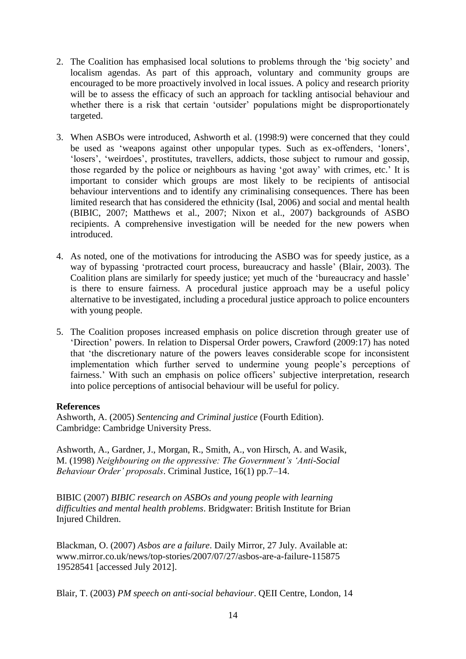- 2. The Coalition has emphasised local solutions to problems through the 'big society' and localism agendas. As part of this approach, voluntary and community groups are encouraged to be more proactively involved in local issues. A policy and research priority will be to assess the efficacy of such an approach for tackling antisocial behaviour and whether there is a risk that certain 'outsider' populations might be disproportionately targeted.
- 3. When ASBOs were introduced, Ashworth et al. (1998:9) were concerned that they could be used as 'weapons against other unpopular types. Such as ex-offenders, 'loners', 'losers', 'weirdoes', prostitutes, travellers, addicts, those subject to rumour and gossip, those regarded by the police or neighbours as having 'got away' with crimes, etc.' It is important to consider which groups are most likely to be recipients of antisocial behaviour interventions and to identify any criminalising consequences. There has been limited research that has considered the ethnicity (Isal, 2006) and social and mental health (BIBIC, 2007; Matthews et al., 2007; Nixon et al., 2007) backgrounds of ASBO recipients. A comprehensive investigation will be needed for the new powers when introduced.
- 4. As noted, one of the motivations for introducing the ASBO was for speedy justice, as a way of bypassing 'protracted court process, bureaucracy and hassle' (Blair, 2003). The Coalition plans are similarly for speedy justice; yet much of the 'bureaucracy and hassle' is there to ensure fairness. A procedural justice approach may be a useful policy alternative to be investigated, including a procedural justice approach to police encounters with young people.
- 5. The Coalition proposes increased emphasis on police discretion through greater use of 'Direction' powers. In relation to Dispersal Order powers, Crawford (2009:17) has noted that 'the discretionary nature of the powers leaves considerable scope for inconsistent implementation which further served to undermine young people's perceptions of fairness.' With such an emphasis on police officers' subjective interpretation, research into police perceptions of antisocial behaviour will be useful for policy.

### **References**

Ashworth, A. (2005) *Sentencing and Criminal justice* (Fourth Edition). Cambridge: Cambridge University Press.

Ashworth, A., Gardner, J., Morgan, R., Smith, A., von Hirsch, A. and Wasik, M. (1998) *Neighbouring on the oppressive: The Government's 'Anti-Social Behaviour Order' proposals*. Criminal Justice, 16(1) pp.7–14.

BIBIC (2007) *BIBIC research on ASBOs and young people with learning difficulties and mental health problems*. Bridgwater: British Institute for Brian Injured Children.

Blackman, O. (2007) *Asbos are a failure*. Daily Mirror, 27 July. Available at: www.mirror.co.uk/news/top-stories/2007/07/27/asbos-are-a-failure-115875 19528541 [accessed July 2012].

Blair, T. (2003) *PM speech on anti-social behaviour*. QEII Centre, London, 14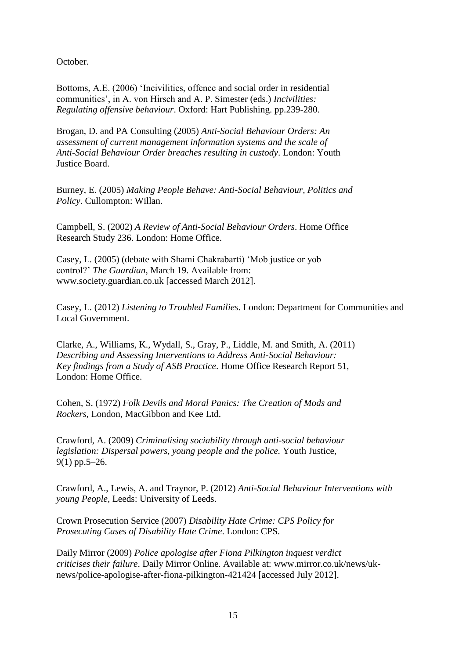October.

Bottoms, A.E. (2006) 'Incivilities, offence and social order in residential communities', in A. von Hirsch and A. P. Simester (eds.) *Incivilities: Regulating offensive behaviour*. Oxford: Hart Publishing. pp.239-280.

Brogan, D. and PA Consulting (2005) *Anti-Social Behaviour Orders: An assessment of current management information systems and the scale of Anti-Social Behaviour Order breaches resulting in custody*. London: Youth Justice Board.

Burney, E. (2005) *Making People Behave: Anti-Social Behaviour, Politics and Policy*. Cullompton: Willan.

Campbell, S. (2002) *A Review of Anti-Social Behaviour Orders*. Home Office Research Study 236. London: Home Office.

Casey, L. (2005) (debate with Shami Chakrabarti) 'Mob justice or yob control?' *The Guardian*, March 19. Available from: www.society.guardian.co.uk [accessed March 2012].

Casey, L. (2012) *Listening to Troubled Families*. London: Department for Communities and Local Government.

Clarke, A., Williams, K., Wydall, S., Gray, P., Liddle, M. and Smith, A. (2011) *Describing and Assessing Interventions to Address Anti-Social Behaviour: Key findings from a Study of ASB Practice*. Home Office Research Report 51, London: Home Office.

Cohen, S. (1972) *Folk Devils and Moral Panics: The Creation of Mods and Rockers*, London, MacGibbon and Kee Ltd.

Crawford, A. (2009) *Criminalising sociability through anti-social behaviour legislation: Dispersal powers, young people and the police.* Youth Justice, 9(1) pp.5–26.

Crawford, A., Lewis, A. and Traynor, P. (2012) *Anti-Social Behaviour Interventions with young People*, Leeds: University of Leeds.

Crown Prosecution Service (2007) *Disability Hate Crime: CPS Policy for Prosecuting Cases of Disability Hate Crime*. London: CPS.

Daily Mirror (2009) *Police apologise after Fiona Pilkington inquest verdict criticises their failure*. Daily Mirror Online. Available at: www.mirror.co.uk/news/uknews/police-apologise-after-fiona-pilkington-421424 [accessed July 2012].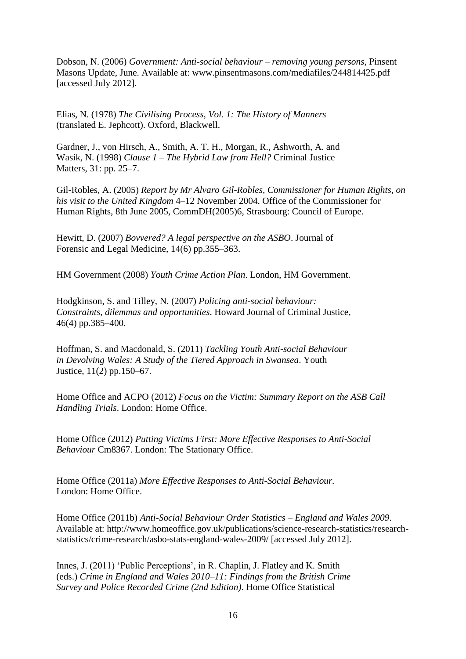Dobson, N. (2006) *Government: Anti-social behaviour – removing young persons*, Pinsent Masons Update, June. Available at: www.pinsentmasons.com/mediafiles/244814425.pdf [accessed July 2012].

Elias, N. (1978) *The Civilising Process, Vol. 1: The History of Manners* (translated E. Jephcott). Oxford, Blackwell.

Gardner, J., von Hirsch, A., Smith, A. T. H., Morgan, R., Ashworth, A. and Wasik, N. (1998) *Clause 1 – The Hybrid Law from Hell?* Criminal Justice Matters, 31: pp. 25–7.

Gil-Robles, A. (2005) *Report by Mr Alvaro Gil-Robles, Commissioner for Human Rights, on his visit to the United Kingdom* 4–12 November 2004. Office of the Commissioner for Human Rights, 8th June 2005, CommDH(2005)6, Strasbourg: Council of Europe.

Hewitt, D. (2007) *Bovvered? A legal perspective on the ASBO*. Journal of Forensic and Legal Medicine, 14(6) pp.355–363.

HM Government (2008) *Youth Crime Action Plan*. London, HM Government.

Hodgkinson, S. and Tilley, N. (2007) *Policing anti-social behaviour: Constraints, dilemmas and opportunities*. Howard Journal of Criminal Justice, 46(4) pp.385–400.

Hoffman, S. and Macdonald, S. (2011) *Tackling Youth Anti-social Behaviour in Devolving Wales: A Study of the Tiered Approach in Swansea*. Youth Justice, 11(2) pp.150–67.

Home Office and ACPO (2012) *Focus on the Victim: Summary Report on the ASB Call Handling Trials*. London: Home Office.

Home Office (2012) *Putting Victims First: More Effective Responses to Anti-Social Behaviour* Cm8367. London: The Stationary Office.

Home Office (2011a) *More Effective Responses to Anti-Social Behaviour.* London: Home Office.

Home Office (2011b) *Anti-Social Behaviour Order Statistics – England and Wales 2009*. Available at: [http://www.homeoffice.gov.uk/publications/science-research-statistics/research](http://www.homeoffice.gov.uk/publications/science-research-statistics/research-statistics/crime-research/asbo-stats-england-wales-2009/)[statistics/crime-research/asbo-stats-england-wales-2009/](http://www.homeoffice.gov.uk/publications/science-research-statistics/research-statistics/crime-research/asbo-stats-england-wales-2009/) [accessed July 2012].

Innes, J. (2011) 'Public Perceptions', in R. Chaplin, J. Flatley and K. Smith (eds.) *Crime in England and Wales 2010–11: Findings from the British Crime Survey and Police Recorded Crime (2nd Edition)*. Home Office Statistical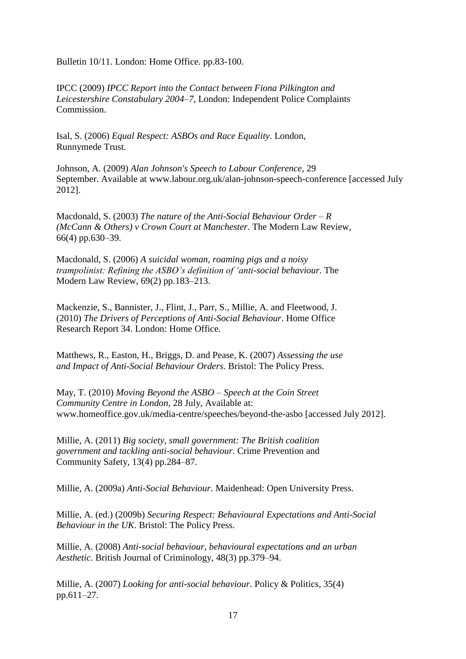Bulletin 10/11. London: Home Office. pp.83-100.

IPCC (2009) *IPCC Report into the Contact between Fiona Pilkington and Leicestershire Constabulary 2004–7*, London: Independent Police Complaints Commission.

Isal, S. (2006) *Equal Respect: ASBOs and Race Equality*. London, Runnymede Trust.

Johnson, A. (2009) *Alan Johnson's Speech to Labour Conference*, 29 September. Available at www.labour.org.uk/alan-johnson-speech-conference [accessed July 2012].

Macdonald, S. (2003) *The nature of the Anti-Social Behaviour Order – R (McCann & Others) v Crown Court at Manchester*. The Modern Law Review, 66(4) pp.630–39.

Macdonald, S. (2006) *A suicidal woman, roaming pigs and a noisy trampolinist: Refining the ASBO's definition of 'anti-social behaviour*. The Modern Law Review, 69(2) pp.183–213.

Mackenzie, S., Bannister, J., Flint, J., Parr, S., Millie, A. and Fleetwood, J. (2010) *The Drivers of Perceptions of Anti-Social Behaviour*. Home Office Research Report 34. London: Home Office.

Matthews, R., Easton, H., Briggs, D. and Pease, K. (2007) *Assessing the use and Impact of Anti-Social Behaviour Orders*. Bristol: The Policy Press.

May, T. (2010) *Moving Beyond the ASBO* – *Speech at the Coin Street Community Centre in London*, 28 July, Available at: www.homeoffice.gov.uk/media-centre/speeches/beyond-the-asbo [accessed July 2012].

Millie, A. (2011) *Big society, small government: The British coalition government and tackling anti-social behaviour*. Crime Prevention and Community Safety, 13(4) pp.284–87.

Millie, A. (2009a) *Anti-Social Behaviour*. Maidenhead: Open University Press.

Millie, A. (ed.) (2009b) *Securing Respect: Behavioural Expectations and Anti-Social Behaviour in the UK*. Bristol: The Policy Press.

Millie, A. (2008) *Anti-social behaviour, behavioural expectations and an urban Aesthetic*. British Journal of Criminology, 48(3) pp.379–94.

Millie, A. (2007) *Looking for anti-social behaviour*. Policy & Politics, 35(4) pp.611–27.